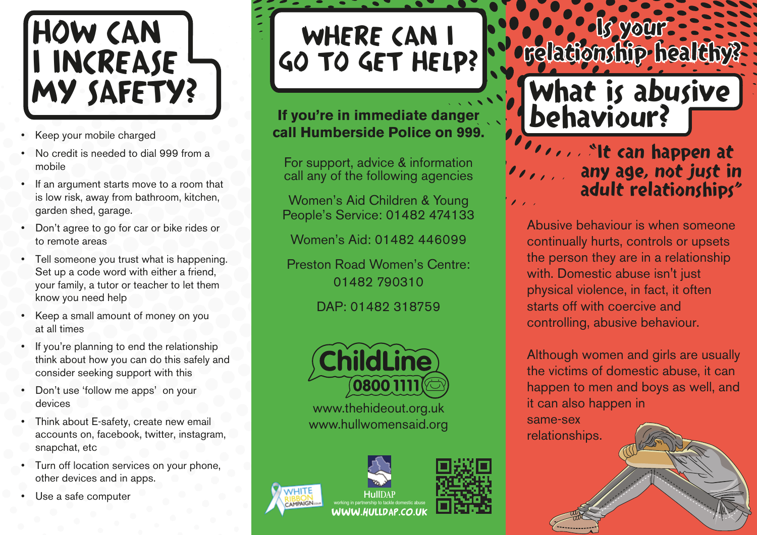

- Keep your mobile charged
- No credit is needed to dial 999 from a mobile
- If an argument starts move to a room that is low risk, away from bathroom, kitchen, garden shed, garage.
- Don't agree to go for car or bike rides or to remote areas
- Tell someone you trust what is happening. Set up a code word with either a friend, your family, a tutor or teacher to let them know you need help
- Keep a small amount of money on you at all times
- If you're planning to end the relationship think about how you can do this safely and consider seeking support with this
- Don't use 'follow me apps' on your devices
- Think about E-safety, create new email accounts on, facebook, twitter, instagram, snapchat, etc
- Turn off location services on your phone, other devices and in apps.
- Use a safe computer

WHERE CAN I GO TO GET HELP?

**If you're in immediate danger call Humberside Police on 999.**

For support, advice & information call any of the following agencies

Women's Aid Children & Young People's Service: 01482 474133

Women's Aid: 01482 446099

Preston Road Women's Centre: 01482 790310

DAP: 01482 318759



www.thehideout.org.uk www.hullwomensaid.org



behaviour? *I***It can happen at** any age, not just in  $\mathcal{O}(\mathcal{O}(\mathcal{O}))$ adult relationships"

What is abusive

·ls vour-

**relationship** healthy?

Abusive behaviour is when someone continually hurts, controls or upsets the person they are in a relationship with. Domestic abuse isn't just physical violence, in fact, it often starts off with coercive and controlling, abusive behaviour.

Although women and girls are usually the victims of domestic abuse, it can happen to men and boys as well, and it can also happen in

same-sex relationships.